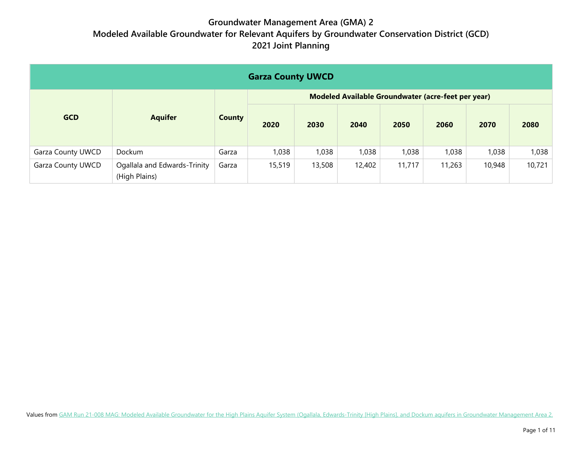| <b>Garza County UWCD</b> |                                               |               |                                                    |        |        |        |        |        |        |  |  |
|--------------------------|-----------------------------------------------|---------------|----------------------------------------------------|--------|--------|--------|--------|--------|--------|--|--|
|                          |                                               |               | Modeled Available Groundwater (acre-feet per year) |        |        |        |        |        |        |  |  |
| <b>GCD</b>               | <b>Aquifer</b>                                | <b>County</b> | 2020                                               | 2030   | 2040   | 2050   | 2060   | 2070   | 2080   |  |  |
| Garza County UWCD        | Dockum                                        | Garza         | 1,038                                              | 1,038  | 1,038  | 1,038  | 1,038  | 1,038  | 1,038  |  |  |
| Garza County UWCD        | Ogallala and Edwards-Trinity<br>(High Plains) | Garza         | 15,519                                             | 13,508 | 12,402 | 11,717 | 11,263 | 10,948 | 10,721 |  |  |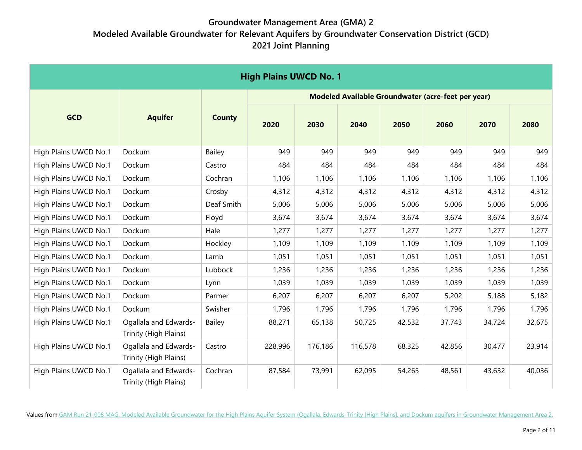| <b>High Plains UWCD No. 1</b> |                                                |               |         |         |                                                    |        |        |        |        |
|-------------------------------|------------------------------------------------|---------------|---------|---------|----------------------------------------------------|--------|--------|--------|--------|
|                               |                                                |               |         |         | Modeled Available Groundwater (acre-feet per year) |        |        |        |        |
| <b>GCD</b>                    | <b>Aquifer</b>                                 | <b>County</b> | 2020    | 2030    | 2040                                               | 2050   | 2060   | 2070   | 2080   |
| High Plains UWCD No.1         | Dockum                                         | <b>Bailey</b> | 949     | 949     | 949                                                | 949    | 949    | 949    | 949    |
| High Plains UWCD No.1         | Dockum                                         | Castro        | 484     | 484     | 484                                                | 484    | 484    | 484    | 484    |
| High Plains UWCD No.1         | Dockum                                         | Cochran       | 1,106   | 1,106   | 1,106                                              | 1,106  | 1,106  | 1,106  | 1,106  |
| High Plains UWCD No.1         | Dockum                                         | Crosby        | 4,312   | 4,312   | 4,312                                              | 4,312  | 4,312  | 4,312  | 4,312  |
| High Plains UWCD No.1         | Dockum                                         | Deaf Smith    | 5,006   | 5,006   | 5,006                                              | 5,006  | 5,006  | 5,006  | 5,006  |
| High Plains UWCD No.1         | Dockum                                         | Floyd         | 3,674   | 3,674   | 3,674                                              | 3,674  | 3,674  | 3,674  | 3,674  |
| High Plains UWCD No.1         | Dockum                                         | Hale          | 1,277   | 1,277   | 1,277                                              | 1,277  | 1,277  | 1,277  | 1,277  |
| High Plains UWCD No.1         | Dockum                                         | Hockley       | 1,109   | 1,109   | 1,109                                              | 1,109  | 1,109  | 1,109  | 1,109  |
| High Plains UWCD No.1         | Dockum                                         | Lamb          | 1,051   | 1,051   | 1,051                                              | 1,051  | 1,051  | 1,051  | 1,051  |
| High Plains UWCD No.1         | Dockum                                         | Lubbock       | 1,236   | 1,236   | 1,236                                              | 1,236  | 1,236  | 1,236  | 1,236  |
| High Plains UWCD No.1         | Dockum                                         | Lynn          | 1,039   | 1,039   | 1,039                                              | 1,039  | 1,039  | 1,039  | 1,039  |
| High Plains UWCD No.1         | Dockum                                         | Parmer        | 6,207   | 6,207   | 6,207                                              | 6,207  | 5,202  | 5,188  | 5,182  |
| High Plains UWCD No.1         | Dockum                                         | Swisher       | 1,796   | 1,796   | 1,796                                              | 1,796  | 1,796  | 1,796  | 1,796  |
| High Plains UWCD No.1         | Ogallala and Edwards-<br>Trinity (High Plains) | <b>Bailey</b> | 88,271  | 65,138  | 50,725                                             | 42,532 | 37,743 | 34,724 | 32,675 |
| High Plains UWCD No.1         | Ogallala and Edwards-<br>Trinity (High Plains) | Castro        | 228,996 | 176,186 | 116,578                                            | 68,325 | 42,856 | 30,477 | 23,914 |
| High Plains UWCD No.1         | Ogallala and Edwards-<br>Trinity (High Plains) | Cochran       | 87,584  | 73,991  | 62,095                                             | 54,265 | 48,561 | 43,632 | 40,036 |

Values fro[m GAM Run 21-008 MAG: Modeled Available Groundwater for the High Plains Aquifer System \(Ogallala, Edwards-Trinity \[High Plains\], and Dockum aquifers in Groundwater Management Area 2.](http://www.twdb.texas.gov/groundwater/docs/GAMruns/GR21-008_MAG.pdf)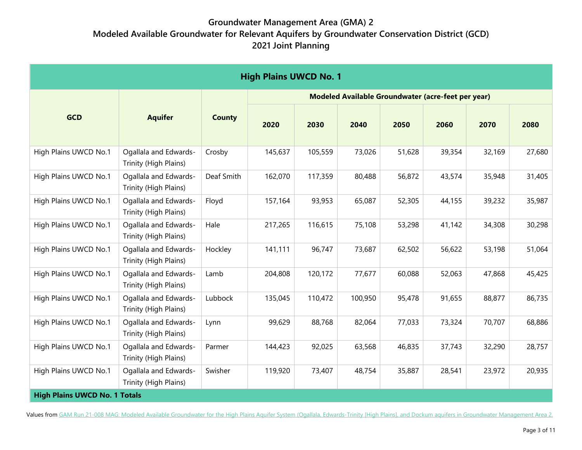| <b>High Plains UWCD No. 1</b>        |                                                |               |         |         |                                                    |        |        |        |        |  |
|--------------------------------------|------------------------------------------------|---------------|---------|---------|----------------------------------------------------|--------|--------|--------|--------|--|
|                                      |                                                |               |         |         | Modeled Available Groundwater (acre-feet per year) |        |        |        |        |  |
| <b>GCD</b>                           | <b>Aquifer</b>                                 | <b>County</b> | 2020    | 2030    | 2040                                               | 2050   | 2060   | 2070   | 2080   |  |
| High Plains UWCD No.1                | Ogallala and Edwards-<br>Trinity (High Plains) | Crosby        | 145,637 | 105,559 | 73,026                                             | 51,628 | 39,354 | 32,169 | 27,680 |  |
| High Plains UWCD No.1                | Ogallala and Edwards-<br>Trinity (High Plains) | Deaf Smith    | 162,070 | 117,359 | 80,488                                             | 56,872 | 43,574 | 35,948 | 31,405 |  |
| High Plains UWCD No.1                | Ogallala and Edwards-<br>Trinity (High Plains) | Floyd         | 157,164 | 93,953  | 65,087                                             | 52,305 | 44,155 | 39,232 | 35,987 |  |
| High Plains UWCD No.1                | Ogallala and Edwards-<br>Trinity (High Plains) | Hale          | 217,265 | 116,615 | 75,108                                             | 53,298 | 41,142 | 34,308 | 30,298 |  |
| High Plains UWCD No.1                | Ogallala and Edwards-<br>Trinity (High Plains) | Hockley       | 141,111 | 96,747  | 73,687                                             | 62,502 | 56,622 | 53,198 | 51,064 |  |
| High Plains UWCD No.1                | Ogallala and Edwards-<br>Trinity (High Plains) | Lamb          | 204,808 | 120,172 | 77,677                                             | 60,088 | 52,063 | 47,868 | 45,425 |  |
| High Plains UWCD No.1                | Ogallala and Edwards-<br>Trinity (High Plains) | Lubbock       | 135,045 | 110,472 | 100,950                                            | 95,478 | 91,655 | 88,877 | 86,735 |  |
| High Plains UWCD No.1                | Ogallala and Edwards-<br>Trinity (High Plains) | Lynn          | 99,629  | 88,768  | 82,064                                             | 77,033 | 73,324 | 70,707 | 68,886 |  |
| High Plains UWCD No.1                | Ogallala and Edwards-<br>Trinity (High Plains) | Parmer        | 144,423 | 92,025  | 63,568                                             | 46,835 | 37,743 | 32,290 | 28,757 |  |
| High Plains UWCD No.1                | Ogallala and Edwards-<br>Trinity (High Plains) | Swisher       | 119,920 | 73,407  | 48,754                                             | 35,887 | 28,541 | 23,972 | 20,935 |  |
| <b>High Plains UWCD No. 1 Totals</b> |                                                |               |         |         |                                                    |        |        |        |        |  |

Values fro[m GAM Run 21-008 MAG: Modeled Available Groundwater for the High Plains Aquifer System \(Ogallala, Edwards-Trinity \[High Plains\], and Dockum aquifers in Groundwater Management Area 2.](http://www.twdb.texas.gov/groundwater/docs/GAMruns/GR21-008_MAG.pdf)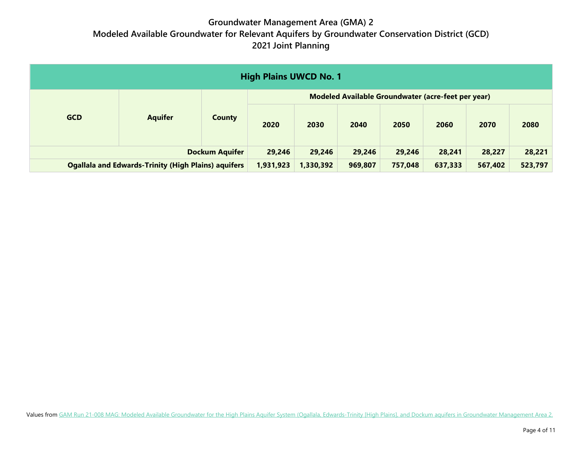| <b>High Plains UWCD No. 1</b>                              |                |               |                                                    |         |         |         |         |         |      |  |  |
|------------------------------------------------------------|----------------|---------------|----------------------------------------------------|---------|---------|---------|---------|---------|------|--|--|
|                                                            | <b>Aquifer</b> |               | Modeled Available Groundwater (acre-feet per year) |         |         |         |         |         |      |  |  |
| <b>GCD</b>                                                 |                | <b>County</b> | 2020                                               | 2030    | 2040    | 2050    | 2060    | 2070    | 2080 |  |  |
| <b>Dockum Aquifer</b>                                      |                | 29,246        | 29,246                                             | 29,246  | 29,246  | 28,241  | 28,227  | 28,221  |      |  |  |
| <b>Ogallala and Edwards-Trinity (High Plains) aquifers</b> |                | 1,931,923     | 1,330,392                                          | 969,807 | 757,048 | 637,333 | 567,402 | 523,797 |      |  |  |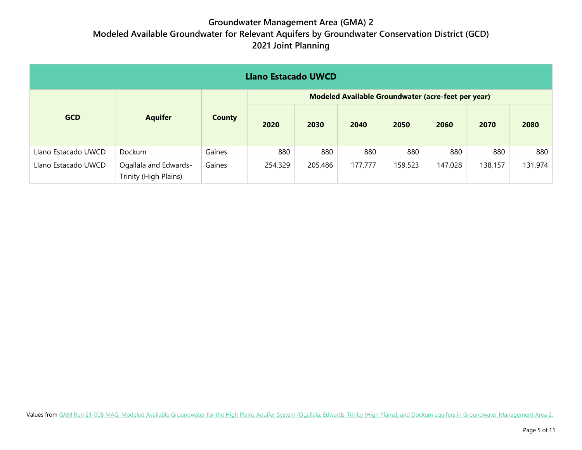| <b>Llano Estacado UWCD</b> |                                                |               |                                                    |         |         |         |         |         |         |  |  |
|----------------------------|------------------------------------------------|---------------|----------------------------------------------------|---------|---------|---------|---------|---------|---------|--|--|
|                            |                                                |               | Modeled Available Groundwater (acre-feet per year) |         |         |         |         |         |         |  |  |
| <b>GCD</b>                 | <b>Aquifer</b>                                 | <b>County</b> | 2020                                               | 2030    | 2040    | 2050    | 2060    | 2070    | 2080    |  |  |
| Llano Estacado UWCD        | Dockum                                         | Gaines        | 880                                                | 880     | 880     | 880     | 880     | 880     | 880     |  |  |
| Llano Estacado UWCD        | Ogallala and Edwards-<br>Trinity (High Plains) | Gaines        | 254,329                                            | 205,486 | 177,777 | 159,523 | 147,028 | 138,157 | 131,974 |  |  |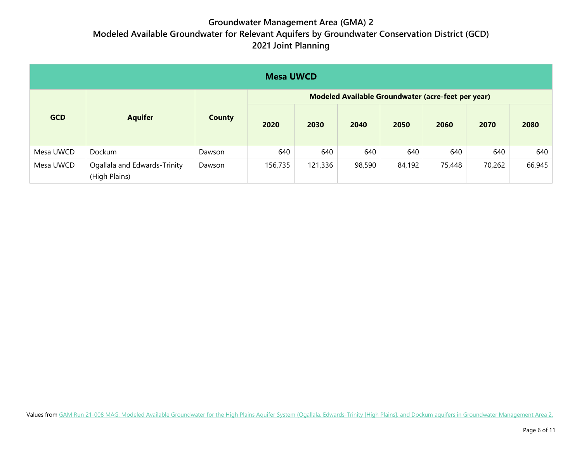|            | <b>Mesa UWCD</b>                              |               |                                                    |         |        |        |        |        |        |  |  |
|------------|-----------------------------------------------|---------------|----------------------------------------------------|---------|--------|--------|--------|--------|--------|--|--|
|            |                                               |               | Modeled Available Groundwater (acre-feet per year) |         |        |        |        |        |        |  |  |
| <b>GCD</b> | <b>Aquifer</b>                                | <b>County</b> |                                                    | 2030    | 2040   | 2050   | 2060   | 2070   | 2080   |  |  |
| Mesa UWCD  | Dockum                                        | Dawson        | 640                                                | 640     | 640    | 640    | 640    | 640    | 640    |  |  |
| Mesa UWCD  | Ogallala and Edwards-Trinity<br>(High Plains) | Dawson        | 156,735                                            | 121,336 | 98,590 | 84,192 | 75,448 | 70,262 | 66,945 |  |  |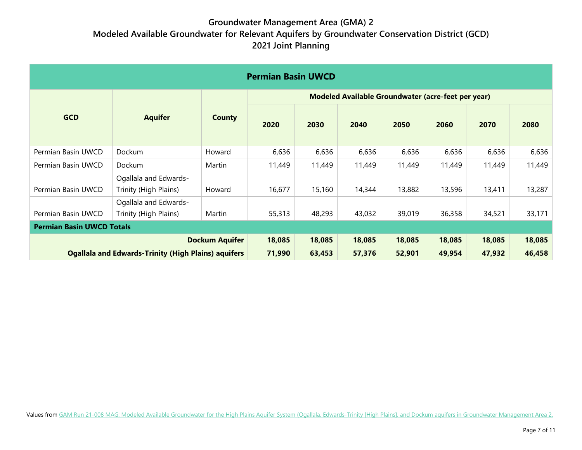| <b>Permian Basin UWCD</b> |                                                            |               |                                                    |        |        |        |        |        |        |  |
|---------------------------|------------------------------------------------------------|---------------|----------------------------------------------------|--------|--------|--------|--------|--------|--------|--|
|                           |                                                            |               | Modeled Available Groundwater (acre-feet per year) |        |        |        |        |        |        |  |
| <b>GCD</b>                | <b>Aquifer</b>                                             | <b>County</b> | 2020                                               | 2030   | 2040   | 2050   | 2060   | 2070   | 2080   |  |
| Permian Basin UWCD        | Dockum                                                     | Howard        | 6,636                                              | 6,636  | 6,636  | 6,636  | 6,636  | 6,636  | 6,636  |  |
| Permian Basin UWCD        | Dockum                                                     | Martin        | 11,449                                             | 11,449 | 11,449 | 11,449 | 11,449 | 11,449 | 11,449 |  |
| Permian Basin UWCD        | Ogallala and Edwards-<br>Trinity (High Plains)             | Howard        | 16,677                                             | 15,160 | 14,344 | 13,882 | 13,596 | 13,411 | 13,287 |  |
| Permian Basin UWCD        | Ogallala and Edwards-<br>Trinity (High Plains)             | Martin        | 55,313                                             | 48,293 | 43,032 | 39,019 | 36,358 | 34,521 | 33,171 |  |
|                           | <b>Permian Basin UWCD Totals</b>                           |               |                                                    |        |        |        |        |        |        |  |
|                           | 18,085                                                     | 18,085        | 18,085                                             | 18,085 | 18,085 | 18,085 | 18,085 |        |        |  |
|                           | <b>Ogallala and Edwards-Trinity (High Plains) aquifers</b> |               | 71,990                                             | 63,453 | 57,376 | 52,901 | 49,954 | 47,932 | 46,458 |  |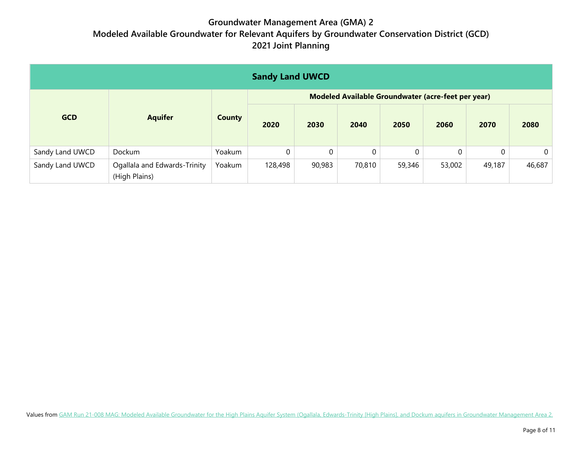| <b>Sandy Land UWCD</b> |                                               |               |                                                    |          |          |        |          |        |                |  |  |
|------------------------|-----------------------------------------------|---------------|----------------------------------------------------|----------|----------|--------|----------|--------|----------------|--|--|
|                        |                                               |               | Modeled Available Groundwater (acre-feet per year) |          |          |        |          |        |                |  |  |
| <b>GCD</b>             | <b>Aquifer</b>                                | <b>County</b> | 2020                                               | 2030     | 2040     | 2050   | 2060     | 2070   | 2080           |  |  |
| Sandy Land UWCD        | Dockum                                        | Yoakum        | 0                                                  | $\Omega$ | $\Omega$ | 0      | $\Omega$ |        | $\overline{0}$ |  |  |
| Sandy Land UWCD        | Ogallala and Edwards-Trinity<br>(High Plains) | Yoakum        | 128,498                                            | 90,983   | 70,810   | 59,346 | 53,002   | 49,187 | 46,687         |  |  |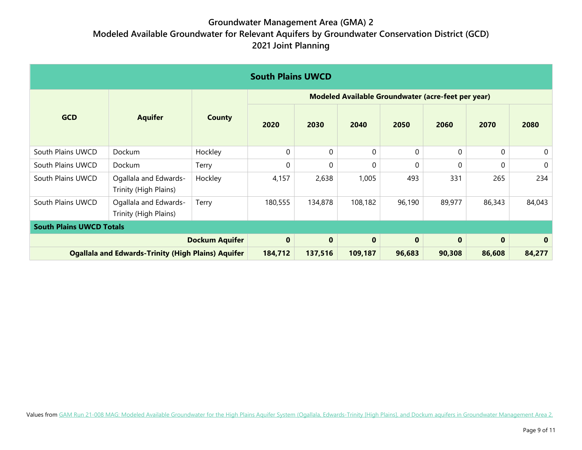| <b>South Plains UWCD</b>        |                                                           |                       |                                                           |              |              |              |              |              |             |  |
|---------------------------------|-----------------------------------------------------------|-----------------------|-----------------------------------------------------------|--------------|--------------|--------------|--------------|--------------|-------------|--|
|                                 |                                                           |                       | <b>Modeled Available Groundwater (acre-feet per year)</b> |              |              |              |              |              |             |  |
| <b>GCD</b>                      | <b>Aquifer</b>                                            | <b>County</b>         | 2020                                                      | 2030         | 2040         | 2050         | 2060         | 2070         | 2080        |  |
| South Plains UWCD               | Dockum                                                    | Hockley               | 0                                                         | $\Omega$     | $\mathbf{0}$ | $\mathbf{0}$ | $\mathbf{0}$ | $\mathbf{0}$ | 0           |  |
| South Plains UWCD               | Dockum                                                    | Terry                 | 0                                                         | $\Omega$     | 0            | $\Omega$     | 0            | $\Omega$     | $\mathbf 0$ |  |
| South Plains UWCD               | Ogallala and Edwards-<br>Trinity (High Plains)            | Hockley               | 4,157                                                     | 2,638        | 1,005        | 493          | 331          | 265          | 234         |  |
| South Plains UWCD               | Ogallala and Edwards-<br>Trinity (High Plains)            | Terry                 | 180,555                                                   | 134,878      | 108,182      | 96,190       | 89,977       | 86,343       | 84,043      |  |
| <b>South Plains UWCD Totals</b> |                                                           |                       |                                                           |              |              |              |              |              |             |  |
|                                 |                                                           | <b>Dockum Aquifer</b> | $\mathbf 0$                                               | $\mathbf{0}$ | $\mathbf 0$  | $\bf{0}$     | $\bf{0}$     | $\mathbf{0}$ | $\bf{0}$    |  |
|                                 | <b>Ogallala and Edwards-Trinity (High Plains) Aquifer</b> |                       |                                                           | 137,516      | 109,187      | 96,683       | 90,308       | 86,608       | 84,277      |  |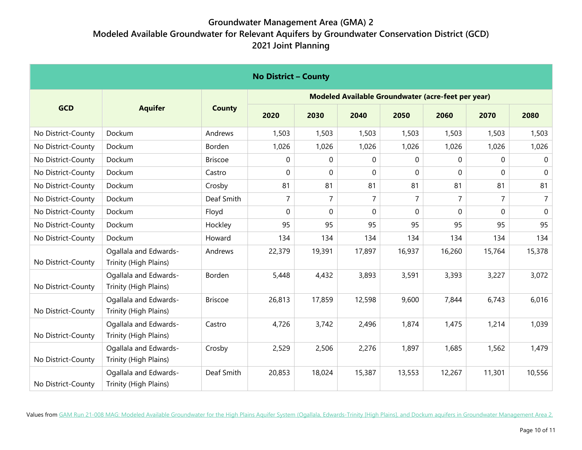| <b>No District - County</b> |                                                |                |                |                |                |                |                                                    |                |                |  |
|-----------------------------|------------------------------------------------|----------------|----------------|----------------|----------------|----------------|----------------------------------------------------|----------------|----------------|--|
|                             |                                                |                |                |                |                |                | Modeled Available Groundwater (acre-feet per year) |                |                |  |
| <b>GCD</b>                  | <b>Aquifer</b>                                 | <b>County</b>  | 2020           | 2030           | 2040           | 2050           | 2060                                               | 2070           | 2080           |  |
| No District-County          | Dockum                                         | Andrews        | 1,503          | 1,503          | 1,503          | 1,503          | 1,503                                              | 1,503          | 1,503          |  |
| No District-County          | Dockum                                         | Borden         | 1,026          | 1,026          | 1,026          | 1,026          | 1,026                                              | 1,026          | 1,026          |  |
| No District-County          | Dockum                                         | <b>Briscoe</b> | 0              | 0              | $\mathbf 0$    | $\Omega$       | $\Omega$                                           | $\Omega$       | $\mathbf 0$    |  |
| No District-County          | Dockum                                         | Castro         | 0              | 0              | $\mathbf 0$    | 0              | $\Omega$                                           | $\Omega$       | $\mathbf 0$    |  |
| No District-County          | Dockum                                         | Crosby         | 81             | 81             | 81             | 81             | 81                                                 | 81             | 81             |  |
| No District-County          | Dockum                                         | Deaf Smith     | $\overline{7}$ | $\overline{7}$ | $\overline{7}$ | $\overline{7}$ | $\overline{7}$                                     | $\overline{7}$ | $\overline{7}$ |  |
| No District-County          | Dockum                                         | Floyd          | 0              | 0              | $\Omega$       | $\Omega$       | $\Omega$                                           | $\Omega$       | $\Omega$       |  |
| No District-County          | Dockum                                         | Hockley        | 95             | 95             | 95             | 95             | 95                                                 | 95             | 95             |  |
| No District-County          | Dockum                                         | Howard         | 134            | 134            | 134            | 134            | 134                                                | 134            | 134            |  |
| No District-County          | Ogallala and Edwards-<br>Trinity (High Plains) | Andrews        | 22,379         | 19,391         | 17,897         | 16,937         | 16,260                                             | 15,764         | 15,378         |  |
| No District-County          | Ogallala and Edwards-<br>Trinity (High Plains) | Borden         | 5,448          | 4,432          | 3,893          | 3,591          | 3,393                                              | 3,227          | 3,072          |  |
| No District-County          | Ogallala and Edwards-<br>Trinity (High Plains) | <b>Briscoe</b> | 26,813         | 17,859         | 12,598         | 9,600          | 7,844                                              | 6,743          | 6,016          |  |
| No District-County          | Ogallala and Edwards-<br>Trinity (High Plains) | Castro         | 4,726          | 3,742          | 2,496          | 1,874          | 1,475                                              | 1,214          | 1,039          |  |
| No District-County          | Ogallala and Edwards-<br>Trinity (High Plains) | Crosby         | 2,529          | 2,506          | 2,276          | 1,897          | 1,685                                              | 1,562          | 1,479          |  |
| No District-County          | Ogallala and Edwards-<br>Trinity (High Plains) | Deaf Smith     | 20,853         | 18,024         | 15,387         | 13,553         | 12,267                                             | 11,301         | 10,556         |  |

Values fro[m GAM Run 21-008 MAG: Modeled Available Groundwater for the High Plains Aquifer System \(Ogallala, Edwards-Trinity \[High Plains\], and Dockum aquifers in Groundwater Management Area 2.](http://www.twdb.texas.gov/groundwater/docs/GAMruns/GR21-008_MAG.pdf)